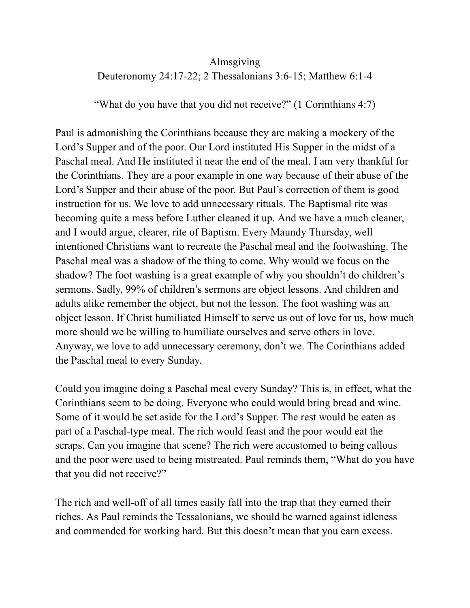## Almsgiving Deuteronomy 24:17-22; 2 Thessalonians 3:6-15; Matthew 6:1-4

"What do you have that you did not receive?" (1 Corinthians 4:7)

Paul is admonishing the Corinthians because they are making a mockery of the Lord's Supper and of the poor. Our Lord instituted His Supper in the midst of a Paschal meal. And He instituted it near the end of the meal. I am very thankful for the Corinthians. They are a poor example in one way because of their abuse of the Lord's Supper and their abuse of the poor. But Paul's correction of them is good instruction for us. We love to add unnecessary rituals. The Baptismal rite was becoming quite a mess before Luther cleaned it up. And we have a much cleaner, and I would argue, clearer, rite of Baptism. Every Maundy Thursday, well intentioned Christians want to recreate the Paschal meal and the footwashing. The Paschal meal was a shadow of the thing to come. Why would we focus on the shadow? The foot washing is a great example of why you shouldn't do children's sermons. Sadly, 99% of children's sermons are object lessons. And children and adults alike remember the object, but not the lesson. The foot washing was an object lesson. If Christ humiliated Himself to serve us out of love for us, how much more should we be willing to humiliate ourselves and serve others in love. Anyway, we love to add unnecessary ceremony, don't we. The Corinthians added the Paschal meal to every Sunday.

Could you imagine doing a Paschal meal every Sunday? This is, in effect, what the Corinthians seem to be doing. Everyone who could would bring bread and wine. Some of it would be set aside for the Lord's Supper. The rest would be eaten as part of a Paschal-type meal. The rich would feast and the poor would eat the scraps. Can you imagine that scene? The rich were accustomed to being callous and the poor were used to being mistreated. Paul reminds them, "What do you have that you did not receive?"

The rich and well-off of all times easily fall into the trap that they earned their riches. As Paul reminds the Tessalonians, we should be warned against idleness and commended for working hard. But this doesn't mean that you earn excess.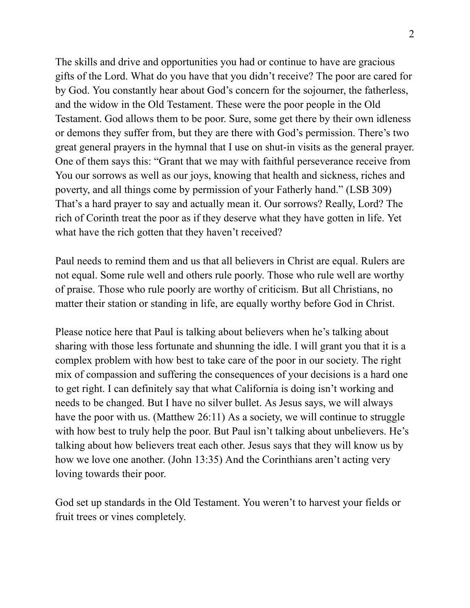The skills and drive and opportunities you had or continue to have are gracious gifts of the Lord. What do you have that you didn't receive? The poor are cared for by God. You constantly hear about God's concern for the sojourner, the fatherless, and the widow in the Old Testament. These were the poor people in the Old Testament. God allows them to be poor. Sure, some get there by their own idleness or demons they suffer from, but they are there with God's permission. There's two great general prayers in the hymnal that I use on shut-in visits as the general prayer. One of them says this: "Grant that we may with faithful perseverance receive from You our sorrows as well as our joys, knowing that health and sickness, riches and poverty, and all things come by permission of your Fatherly hand." (LSB 309) That's a hard prayer to say and actually mean it. Our sorrows? Really, Lord? The rich of Corinth treat the poor as if they deserve what they have gotten in life. Yet what have the rich gotten that they haven't received?

Paul needs to remind them and us that all believers in Christ are equal. Rulers are not equal. Some rule well and others rule poorly. Those who rule well are worthy of praise. Those who rule poorly are worthy of criticism. But all Christians, no matter their station or standing in life, are equally worthy before God in Christ.

Please notice here that Paul is talking about believers when he's talking about sharing with those less fortunate and shunning the idle. I will grant you that it is a complex problem with how best to take care of the poor in our society. The right mix of compassion and suffering the consequences of your decisions is a hard one to get right. I can definitely say that what California is doing isn't working and needs to be changed. But I have no silver bullet. As Jesus says, we will always have the poor with us. (Matthew 26:11) As a society, we will continue to struggle with how best to truly help the poor. But Paul isn't talking about unbelievers. He's talking about how believers treat each other. Jesus says that they will know us by how we love one another. (John 13:35) And the Corinthians aren't acting very loving towards their poor.

God set up standards in the Old Testament. You weren't to harvest your fields or fruit trees or vines completely.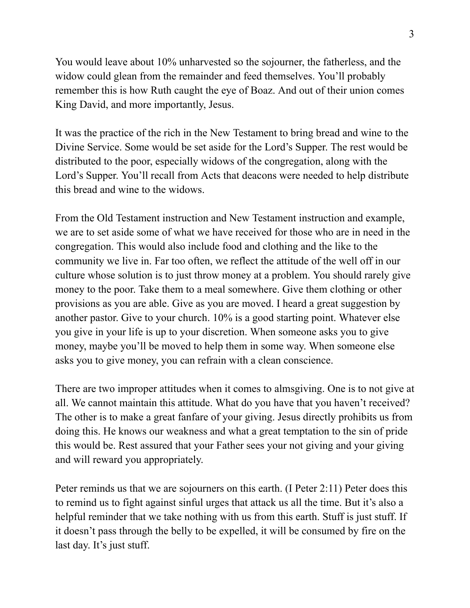You would leave about 10% unharvested so the sojourner, the fatherless, and the widow could glean from the remainder and feed themselves. You'll probably remember this is how Ruth caught the eye of Boaz. And out of their union comes King David, and more importantly, Jesus.

It was the practice of the rich in the New Testament to bring bread and wine to the Divine Service. Some would be set aside for the Lord's Supper. The rest would be distributed to the poor, especially widows of the congregation, along with the Lord's Supper. You'll recall from Acts that deacons were needed to help distribute this bread and wine to the widows.

From the Old Testament instruction and New Testament instruction and example, we are to set aside some of what we have received for those who are in need in the congregation. This would also include food and clothing and the like to the community we live in. Far too often, we reflect the attitude of the well off in our culture whose solution is to just throw money at a problem. You should rarely give money to the poor. Take them to a meal somewhere. Give them clothing or other provisions as you are able. Give as you are moved. I heard a great suggestion by another pastor. Give to your church. 10% is a good starting point. Whatever else you give in your life is up to your discretion. When someone asks you to give money, maybe you'll be moved to help them in some way. When someone else asks you to give money, you can refrain with a clean conscience.

There are two improper attitudes when it comes to almsgiving. One is to not give at all. We cannot maintain this attitude. What do you have that you haven't received? The other is to make a great fanfare of your giving. Jesus directly prohibits us from doing this. He knows our weakness and what a great temptation to the sin of pride this would be. Rest assured that your Father sees your not giving and your giving and will reward you appropriately.

Peter reminds us that we are sojourners on this earth. (I Peter 2:11) Peter does this to remind us to fight against sinful urges that attack us all the time. But it's also a helpful reminder that we take nothing with us from this earth. Stuff is just stuff. If it doesn't pass through the belly to be expelled, it will be consumed by fire on the last day. It's just stuff.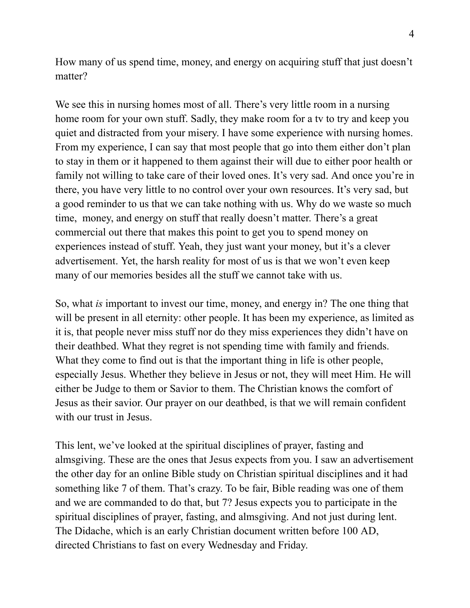How many of us spend time, money, and energy on acquiring stuff that just doesn't matter?

We see this in nursing homes most of all. There's very little room in a nursing home room for your own stuff. Sadly, they make room for a tv to try and keep you quiet and distracted from your misery. I have some experience with nursing homes. From my experience, I can say that most people that go into them either don't plan to stay in them or it happened to them against their will due to either poor health or family not willing to take care of their loved ones. It's very sad. And once you're in there, you have very little to no control over your own resources. It's very sad, but a good reminder to us that we can take nothing with us. Why do we waste so much time, money, and energy on stuff that really doesn't matter. There's a great commercial out there that makes this point to get you to spend money on experiences instead of stuff. Yeah, they just want your money, but it's a clever advertisement. Yet, the harsh reality for most of us is that we won't even keep many of our memories besides all the stuff we cannot take with us.

So, what *is* important to invest our time, money, and energy in? The one thing that will be present in all eternity: other people. It has been my experience, as limited as it is, that people never miss stuff nor do they miss experiences they didn't have on their deathbed. What they regret is not spending time with family and friends. What they come to find out is that the important thing in life is other people, especially Jesus. Whether they believe in Jesus or not, they will meet Him. He will either be Judge to them or Savior to them. The Christian knows the comfort of Jesus as their savior. Our prayer on our deathbed, is that we will remain confident with our trust in Jesus.

This lent, we've looked at the spiritual disciplines of prayer, fasting and almsgiving. These are the ones that Jesus expects from you. I saw an advertisement the other day for an online Bible study on Christian spiritual disciplines and it had something like 7 of them. That's crazy. To be fair, Bible reading was one of them and we are commanded to do that, but 7? Jesus expects you to participate in the spiritual disciplines of prayer, fasting, and almsgiving. And not just during lent. The Didache, which is an early Christian document written before 100 AD, directed Christians to fast on every Wednesday and Friday.